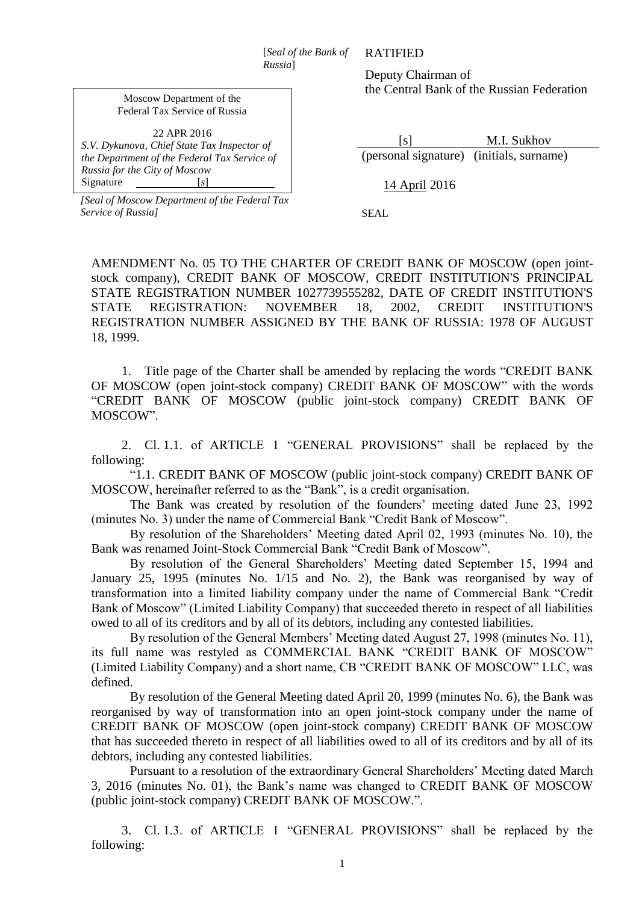[*Seal of the Bank of Russia*]

Moscow Department of the Federal Tax Service of Russia

*S.V. Dykunova, Chief State Tax Inspector of the Department of the Federal Tax Service of Russia for the City of Moscow* Signature [*s*]

*[Seal of Moscow Department of the Federal Tax* 

*Service of Russia]*

RATIFIED

Deputy Chairman of the Central Bank of the Russian Federation

 [s] M.I. Sukhov (personal signature) (initials, surname)

14 April 2016

SEAL

AMENDMENT No. 05 TO THE CHARTER OF CREDIT BANK OF MOSCOW (open jointstock company), CREDIT BANK OF MOSCOW, CREDIT INSTITUTION'S PRINCIPAL STATE REGISTRATION NUMBER 1027739555282, DATE OF CREDIT INSTITUTION'S STATE REGISTRATION: NOVEMBER 18, 2002, CREDIT INSTITUTION'S REGISTRATION NUMBER ASSIGNED BY THE BANK OF RUSSIA: 1978 OF AUGUST 18, 1999.

1. Title page of the Charter shall be amended by replacing the words "CREDIT BANK OF MOSCOW (open joint-stock company) CREDIT BANK OF MOSCOW" with the words "CREDIT BANK OF MOSCOW (public joint-stock company) CREDIT BANK OF MOSCOW".

2. Cl. 1.1. of ARTICLE 1 "GENERAL PROVISIONS" shall be replaced by the following:

"1.1. CREDIT BANK OF MOSCOW (public joint-stock company) CREDIT BANK OF MOSCOW, hereinafter referred to as the "Bank", is a credit organisation.

The Bank was created by resolution of the founders' meeting dated June 23, 1992 (minutes No. 3) under the name of Commercial Bank "Credit Bank of Moscow".

By resolution of the Shareholders' Meeting dated April 02, 1993 (minutes No. 10), the Bank was renamed Joint-Stock Commercial Bank "Credit Bank of Moscow".

By resolution of the General Shareholders' Meeting dated September 15, 1994 and January 25, 1995 (minutes No. 1/15 and No. 2), the Bank was reorganised by way of transformation into a limited liability company under the name of Commercial Bank "Credit Bank of Moscow" (Limited Liability Company) that succeeded thereto in respect of all liabilities owed to all of its creditors and by all of its debtors, including any contested liabilities.

By resolution of the General Members' Meeting dated August 27, 1998 (minutes No. 11), its full name was restyled as COMMERCIAL BANK "CREDIT BANK OF MOSCOW" (Limited Liability Company) and a short name, CB "CREDIT BANK OF MOSCOW" LLC, was defined.

By resolution of the General Meeting dated April 20, 1999 (minutes No. 6), the Bank was reorganised by way of transformation into an open joint-stock company under the name of CREDIT BANK OF MOSCOW (open joint-stock company) CREDIT BANK OF MOSCOW that has succeeded thereto in respect of all liabilities owed to all of its creditors and by all of its debtors, including any contested liabilities.

Pursuant to a resolution of the extraordinary General Shareholders' Meeting dated March 3, 2016 (minutes No. 01), the Bank's name was changed to CREDIT BANK OF MOSCOW (public joint-stock company) CREDIT BANK OF MOSCOW.".

3. Cl. 1.3. of ARTICLE 1 "GENERAL PROVISIONS" shall be replaced by the following: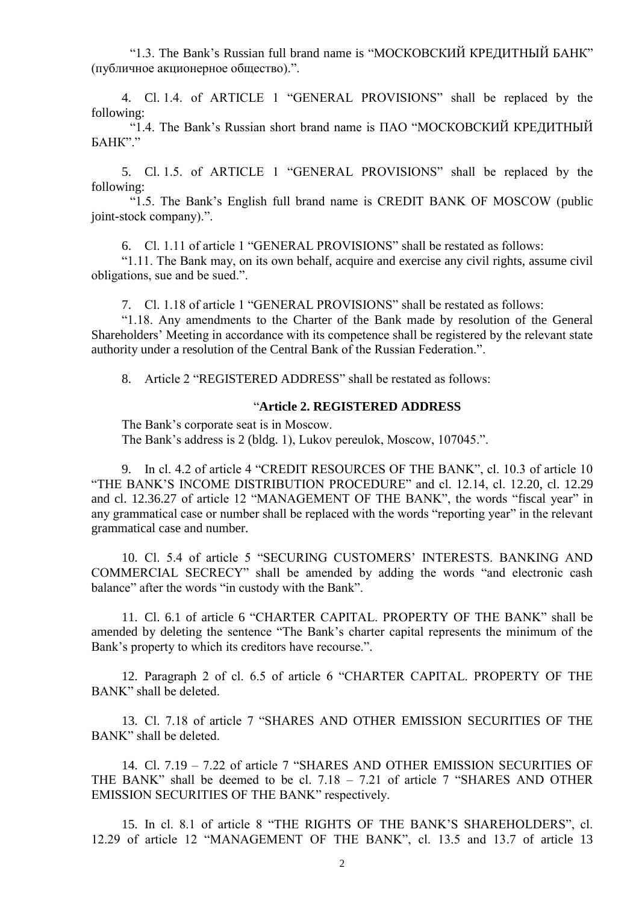"1.3. The Bank's Russian full brand name is "МОСКОВСКИЙ КРЕДИТНЫЙ БАНК" (публичное акционерное общество).".

4. Cl. 1.4. of ARTICLE 1 "GENERAL PROVISIONS" shall be replaced by the following:

"1.4. The Bank's Russian short brand name is ПАО "МОСКОВСКИЙ КРЕДИТНЫЙ  $FAHK"$ 

5. Cl. 1.5. of ARTICLE 1 "GENERAL PROVISIONS" shall be replaced by the following:

"1.5. The Bank's English full brand name is CREDIT BANK OF MOSCOW (public joint-stock company).".

6. Cl. 1.11 of article 1 "GENERAL PROVISIONS" shall be restated as follows:

"1.11. The Bank may, on its own behalf, acquire and exercise any civil rights, assume civil obligations, sue and be sued.".

7. Cl. 1.18 of article 1 "GENERAL PROVISIONS" shall be restated as follows:

"1.18. Any amendments to the Charter of the Bank made by resolution of the General Shareholders' Meeting in accordance with its competence shall be registered by the relevant state authority under a resolution of the Central Bank of the Russian Federation.".

8. Article 2 "REGISTERED ADDRESS" shall be restated as follows:

## "**Article 2. REGISTERED ADDRESS**

The Bank's corporate seat is in Moscow.

The Bank's address is 2 (bldg. 1), Lukov pereulok, Moscow, 107045.".

9. In cl. 4.2 of article 4 "CREDIT RESOURCES OF THE BANK", cl. 10.3 of article 10 "THE BANK'S INCOME DISTRIBUTION PROCEDURE" and cl. 12.14, cl. 12.20, cl. 12.29 and cl. 12.36.27 of article 12 "MANAGEMENT OF THE BANK", the words "fiscal year" in any grammatical case or number shall be replaced with the words "reporting year" in the relevant grammatical case and number.

10. Cl. 5.4 of article 5 "SECURING CUSTOMERS' INTERESTS. BANKING AND COMMERCIAL SECRECY" shall be amended by adding the words "and electronic cash balance" after the words "in custody with the Bank".

11. Cl. 6.1 of article 6 "CHARTER CAPITAL. PROPERTY OF THE BANK" shall be amended by deleting the sentence "The Bank's charter capital represents the minimum of the Bank's property to which its creditors have recourse.".

12. Paragraph 2 of cl. 6.5 of article 6 "CHARTER CAPITAL. PROPERTY OF THE BANK" shall be deleted.

13. Cl. 7.18 of article 7 "SHARES AND OTHER EMISSION SECURITIES OF THE BANK" shall be deleted.

14. Cl. 7.19 – 7.22 of article 7 "SHARES AND OTHER EMISSION SECURITIES OF THE BANK" shall be deemed to be cl. 7.18 – 7.21 of article 7 "SHARES AND OTHER EMISSION SECURITIES OF THE BANK" respectively.

15. In cl. 8.1 of article 8 "THE RIGHTS OF THE BANK'S SHAREHOLDERS", cl. 12.29 of article 12 "MANAGEMENT OF THE BANK", cl. 13.5 and 13.7 of article 13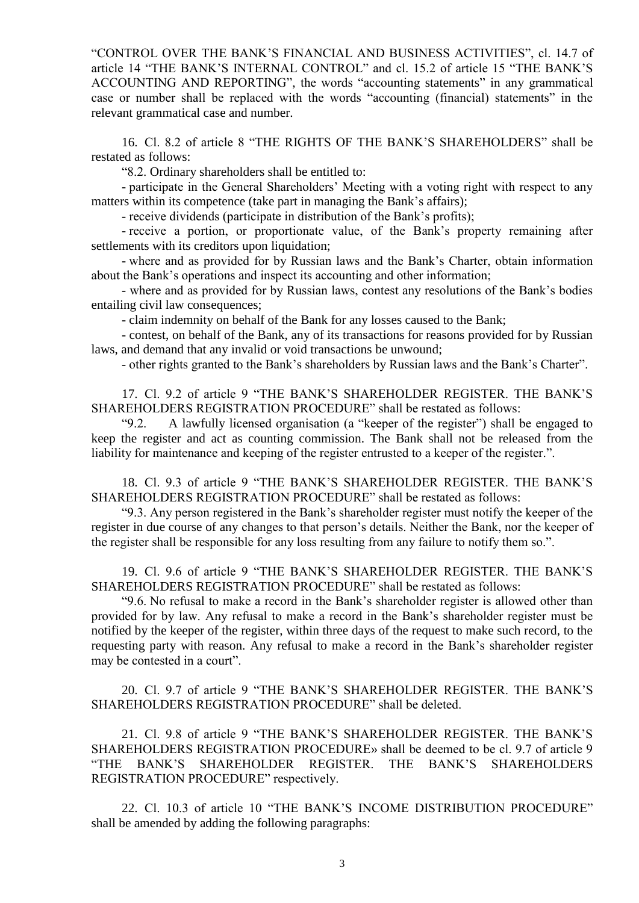"CONTROL OVER THE BANK'S FINANCIAL AND BUSINESS ACTIVITIES", cl. 14.7 of article 14 "THE BANK'S INTERNAL CONTROL" and cl. 15.2 of article 15 "THE BANK'S ACCOUNTING AND REPORTING", the words "accounting statements" in any grammatical case or number shall be replaced with the words "accounting (financial) statements" in the relevant grammatical case and number.

16. Cl. 8.2 of article 8 "THE RIGHTS OF THE BANK'S SHAREHOLDERS" shall be restated as follows:

"8.2. Ordinary shareholders shall be entitled to:

- participate in the General Shareholders' Meeting with a voting right with respect to any matters within its competence (take part in managing the Bank's affairs);

- receive dividends (participate in distribution of the Bank's profits);

- receive a portion, or proportionate value, of the Bank's property remaining after settlements with its creditors upon liquidation;

- where and as provided for by Russian laws and the Bank's Charter, obtain information about the Bank's operations and inspect its accounting and other information;

- where and as provided for by Russian laws, contest any resolutions of the Bank's bodies entailing civil law consequences;

- claim indemnity on behalf of the Bank for any losses caused to the Bank;

- contest, on behalf of the Bank, any of its transactions for reasons provided for by Russian laws, and demand that any invalid or void transactions be unwound;

- other rights granted to the Bank's shareholders by Russian laws and the Bank's Charter".

17. Cl. 9.2 of article 9 "THE BANK'S SHAREHOLDER REGISTER. THE BANK'S SHAREHOLDERS REGISTRATION PROCEDURE" shall be restated as follows:

"9.2. A lawfully licensed organisation (a "keeper of the register") shall be engaged to keep the register and act as counting commission. The Bank shall not be released from the liability for maintenance and keeping of the register entrusted to a keeper of the register.".

18. Cl. 9.3 of article 9 "THE BANK'S SHAREHOLDER REGISTER. THE BANK'S SHAREHOLDERS REGISTRATION PROCEDURE" shall be restated as follows:

"9.3. Any person registered in the Bank's shareholder register must notify the keeper of the register in due course of any changes to that person's details. Neither the Bank, nor the keeper of the register shall be responsible for any loss resulting from any failure to notify them so.".

19. Cl. 9.6 of article 9 "THE BANK'S SHAREHOLDER REGISTER. THE BANK'S SHAREHOLDERS REGISTRATION PROCEDURE" shall be restated as follows:

"9.6. No refusal to make a record in the Bank's shareholder register is allowed other than provided for by law. Any refusal to make a record in the Bank's shareholder register must be notified by the keeper of the register, within three days of the request to make such record, to the requesting party with reason. Any refusal to make a record in the Bank's shareholder register may be contested in a court".

20. Cl. 9.7 of article 9 "THE BANK'S SHAREHOLDER REGISTER. THE BANK'S SHAREHOLDERS REGISTRATION PROCEDURE" shall be deleted.

21. Cl. 9.8 of article 9 "THE BANK'S SHAREHOLDER REGISTER. THE BANK'S SHAREHOLDERS REGISTRATION PROCEDURE» shall be deemed to be cl. 9.7 of article 9 "THE BANK'S SHAREHOLDER REGISTER. THE BANK'S SHAREHOLDERS REGISTRATION PROCEDURE" respectively.

22. Cl. 10.3 of article 10 "THE BANK'S INCOME DISTRIBUTION PROCEDURE" shall be amended by adding the following paragraphs: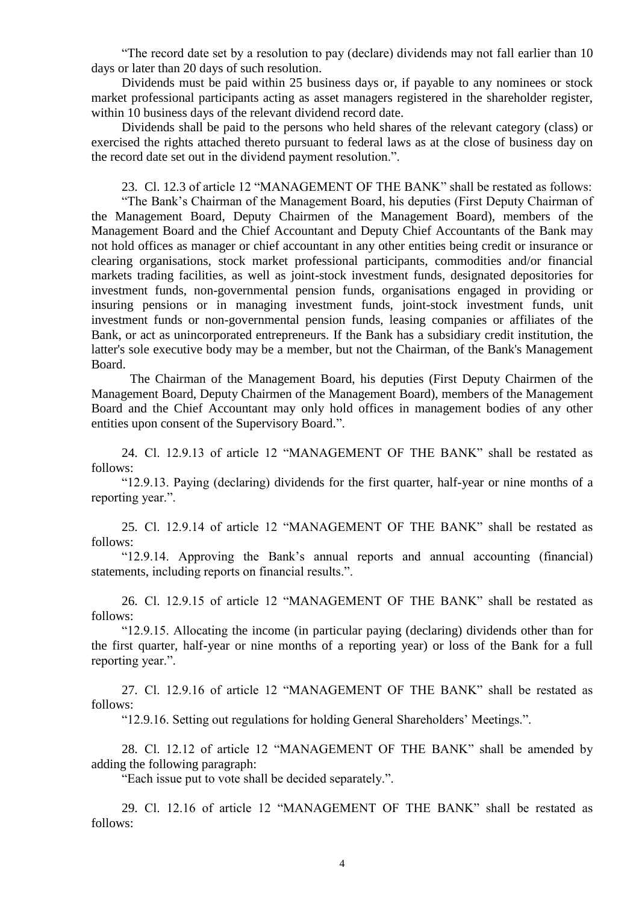"The record date set by a resolution to pay (declare) dividends may not fall earlier than 10 days or later than 20 days of such resolution.

Dividends must be paid within 25 business days or, if payable to any nominees or stock market professional participants acting as asset managers registered in the shareholder register, within 10 business days of the relevant dividend record date.

Dividends shall be paid to the persons who held shares of the relevant category (class) or exercised the rights attached thereto pursuant to federal laws as at the close of business day on the record date set out in the dividend payment resolution.".

23. Cl. 12.3 of article 12 "MANAGEMENT OF THE BANK" shall be restated as follows:

"The Bank's Chairman of the Management Board, his deputies (First Deputy Chairman of the Management Board, Deputy Chairmen of the Management Board), members of the Management Board and the Chief Accountant and Deputy Chief Accountants of the Bank may not hold offices as manager or chief accountant in any other entities being credit or insurance or clearing organisations, stock market professional participants, commodities and/or financial markets trading facilities, as well as joint-stock investment funds, designated depositories for investment funds, non-governmental pension funds, organisations engaged in providing or insuring pensions or in managing investment funds, joint-stock investment funds, unit investment funds or non-governmental pension funds, leasing companies or affiliates of the Bank, or act as unincorporated entrepreneurs. If the Bank has a subsidiary credit institution, the latter's sole executive body may be a member, but not the Chairman, of the Bank's Management Board.

The Chairman of the Management Board, his deputies (First Deputy Chairmen of the Management Board, Deputy Chairmen of the Management Board), members of the Management Board and the Chief Accountant may only hold offices in management bodies of any other entities upon consent of the Supervisory Board.".

24. Cl. 12.9.13 of article 12 "MANAGEMENT OF THE BANK" shall be restated as follows:

"12.9.13. Paying (declaring) dividends for the first quarter, half-year or nine months of a reporting year.".

25. Cl. 12.9.14 of article 12 "MANAGEMENT OF THE BANK" shall be restated as follows:

"12.9.14. Approving the Bank's annual reports and annual accounting (financial) statements, including reports on financial results.".

26. Cl. 12.9.15 of article 12 "MANAGEMENT OF THE BANK" shall be restated as follows:

"12.9.15. Allocating the income (in particular paying (declaring) dividends other than for the first quarter, half-year or nine months of a reporting year) or loss of the Bank for a full reporting year.".

27. Cl. 12.9.16 of article 12 "MANAGEMENT OF THE BANK" shall be restated as follows:

"12.9.16. Setting out regulations for holding General Shareholders' Meetings.".

28. Сl. 12.12 of article 12 "MANAGEMENT OF THE BANK" shall be amended by adding the following paragraph:

"Each issue put to vote shall be decided separately.".

29. Cl. 12.16 of article 12 "MANAGEMENT OF THE BANK" shall be restated as follows: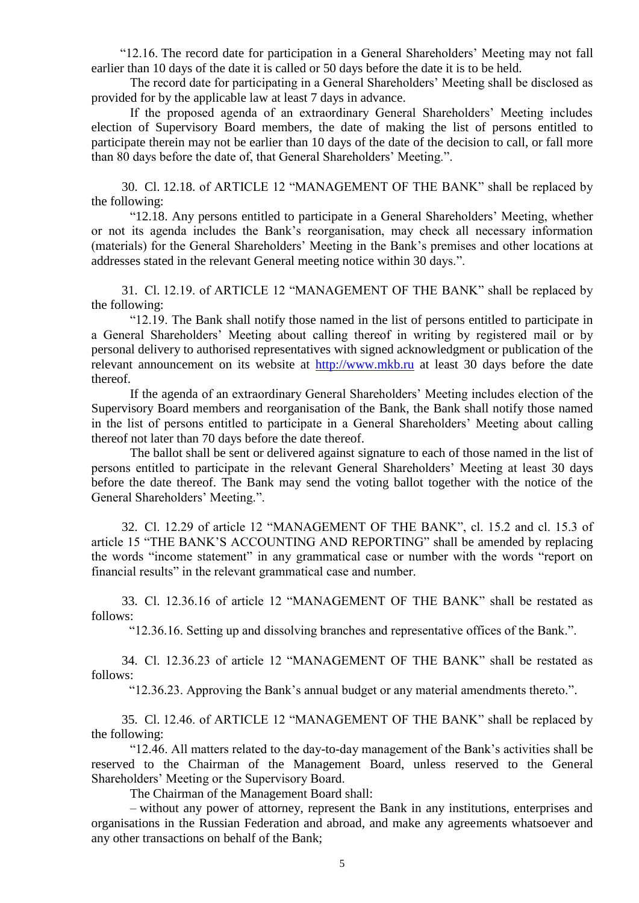"12.16. The record date for participation in a General Shareholders' Meeting may not fall earlier than 10 days of the date it is called or 50 days before the date it is to be held.

The record date for participating in a General Shareholders' Meeting shall be disclosed as provided for by the applicable law at least 7 days in advance.

If the proposed agenda of an extraordinary General Shareholders' Meeting includes election of Supervisory Board members, the date of making the list of persons entitled to participate therein may not be earlier than 10 days of the date of the decision to call, or fall more than 80 days before the date of, that General Shareholders' Meeting.".

30. Cl. 12.18. of ARTICLE 12 "MANAGEMENT OF THE BANK" shall be replaced by the following:

"12.18. Any persons entitled to participate in a General Shareholders' Meeting, whether or not its agenda includes the Bank's reorganisation, may check all necessary information (materials) for the General Shareholders' Meeting in the Bank's premises and other locations at addresses stated in the relevant General meeting notice within 30 days.".

31. Сl. 12.19. of ARTICLE 12 "MANAGEMENT OF THE BANK" shall be replaced by the following:

"12.19. The Bank shall notify those named in the list of persons entitled to participate in a General Shareholders' Meeting about calling thereof in writing by registered mail or by personal delivery to authorised representatives with signed acknowledgment or publication of the relevant announcement on its website at [http://www.mkb.ru](http://www.mkb.ru/) at least 30 days before the date thereof.

If the agenda of an extraordinary General Shareholders' Meeting includes election of the Supervisory Board members and reorganisation of the Bank, the Bank shall notify those named in the list of persons entitled to participate in a General Shareholders' Meeting about calling thereof not later than 70 days before the date thereof.

The ballot shall be sent or delivered against signature to each of those named in the list of persons entitled to participate in the relevant General Shareholders' Meeting at least 30 days before the date thereof. The Bank may send the voting ballot together with the notice of the General Shareholders' Meeting.".

32. Cl. 12.29 of article 12 "MANAGEMENT OF THE BANK", cl. 15.2 and cl. 15.3 of article 15 "THE BANK'S ACCOUNTING AND REPORTING" shall be amended by replacing the words "income statement" in any grammatical case or number with the words "report on financial results" in the relevant grammatical case and number.

33. Cl. 12.36.16 of article 12 "MANAGEMENT OF THE BANK" shall be restated as follows:

"12.36.16. Setting up and dissolving branches and representative offices of the Bank.".

34. Cl. 12.36.23 of article 12 "MANAGEMENT OF THE BANK" shall be restated as follows:

"12.36.23. Approving the Bank's annual budget or any material amendments thereto.".

35. Cl. 12.46. of ARTICLE 12 "MANAGEMENT OF THE BANK" shall be replaced by the following:

"12.46. All matters related to the day-to-day management of the Bank's activities shall be reserved to the Chairman of the Management Board, unless reserved to the General Shareholders' Meeting or the Supervisory Board.

The Chairman of the Management Board shall:

– without any power of attorney, represent the Bank in any institutions, enterprises and organisations in the Russian Federation and abroad, and make any agreements whatsoever and any other transactions on behalf of the Bank;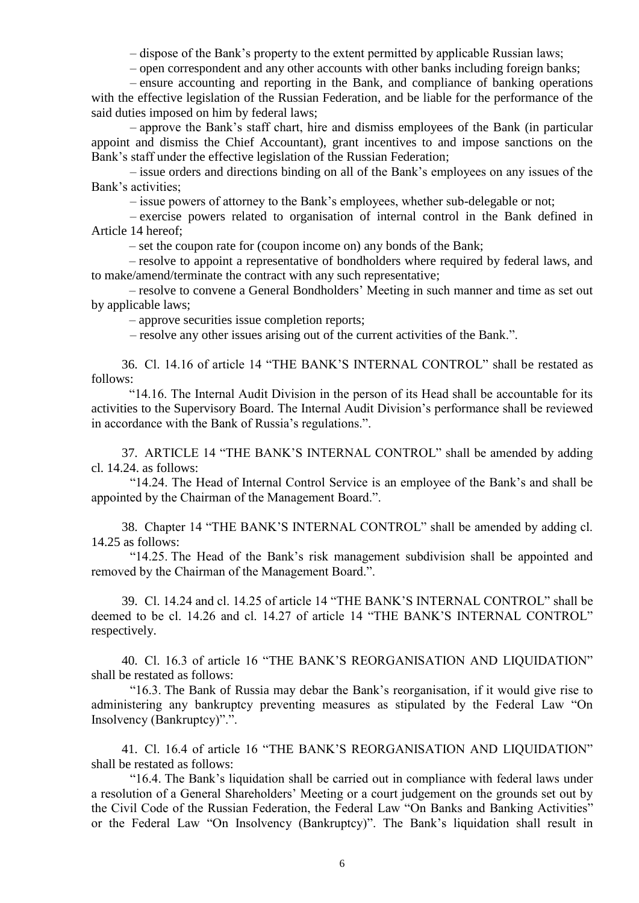– dispose of the Bank's property to the extent permitted by applicable Russian laws;

– open correspondent and any other accounts with other banks including foreign banks;

– ensure accounting and reporting in the Bank, and compliance of banking operations with the effective legislation of the Russian Federation, and be liable for the performance of the said duties imposed on him by federal laws;

– approve the Bank's staff chart, hire and dismiss employees of the Bank (in particular appoint and dismiss the Chief Accountant), grant incentives to and impose sanctions on the Bank's staff under the effective legislation of the Russian Federation;

– issue orders and directions binding on all of the Bank's employees on any issues of the Bank's activities;

– issue powers of attorney to the Bank's employees, whether sub-delegable or not;

– exercise powers related to organisation of internal control in the Bank defined in Article 14 hereof;

– set the coupon rate for (coupon income on) any bonds of the Bank;

– resolve to appoint a representative of bondholders where required by federal laws, and to make/amend/terminate the contract with any such representative;

– resolve to convene a General Bondholders' Meeting in such manner and time as set out by applicable laws;

– approve securities issue completion reports;

– resolve any other issues arising out of the current activities of the Bank.".

36. Cl. 14.16 of article 14 "THE BANK'S INTERNAL CONTROL" shall be restated as follows:

"14.16. The Internal Audit Division in the person of its Head shall be accountable for its activities to the Supervisory Board. The Internal Audit Division's performance shall be reviewed in accordance with the Bank of Russia's regulations.".

37. ARTICLE 14 "THE BANK'S INTERNAL CONTROL" shall be amended by adding cl. 14.24. as follows:

"14.24. The Head of Internal Control Service is an employee of the Bank's and shall be appointed by the Chairman of the Management Board.".

38. Chapter 14 "THE BANK'S INTERNAL CONTROL" shall be amended by adding cl. 14.25 as follows:

"14.25. The Head of the Bank's risk management subdivision shall be appointed and removed by the Chairman of the Management Board.".

39. Сl. 14.24 and cl. 14.25 of article 14 "THE BANK'S INTERNAL CONTROL" shall be deemed to be cl. 14.26 and cl. 14.27 of article 14 "THE BANK'S INTERNAL CONTROL" respectively.

40. Cl. 16.3 of article 16 "THE BANK'S REORGANISATION AND LIQUIDATION" shall be restated as follows:

"16.3. The Bank of Russia may debar the Bank's reorganisation, if it would give rise to administering any bankruptcy preventing measures as stipulated by the Federal Law "On Insolvency (Bankruptcy)".".

41. Cl. 16.4 of article 16 "THE BANK'S REORGANISATION AND LIQUIDATION" shall be restated as follows:

"16.4. The Bank's liquidation shall be carried out in compliance with federal laws under a resolution of a General Shareholders' Meeting or a court judgement on the grounds set out by the Civil Code of the Russian Federation, the Federal Law "On Banks and Banking Activities" or the Federal Law "On Insolvency (Bankruptcy)". The Bank's liquidation shall result in